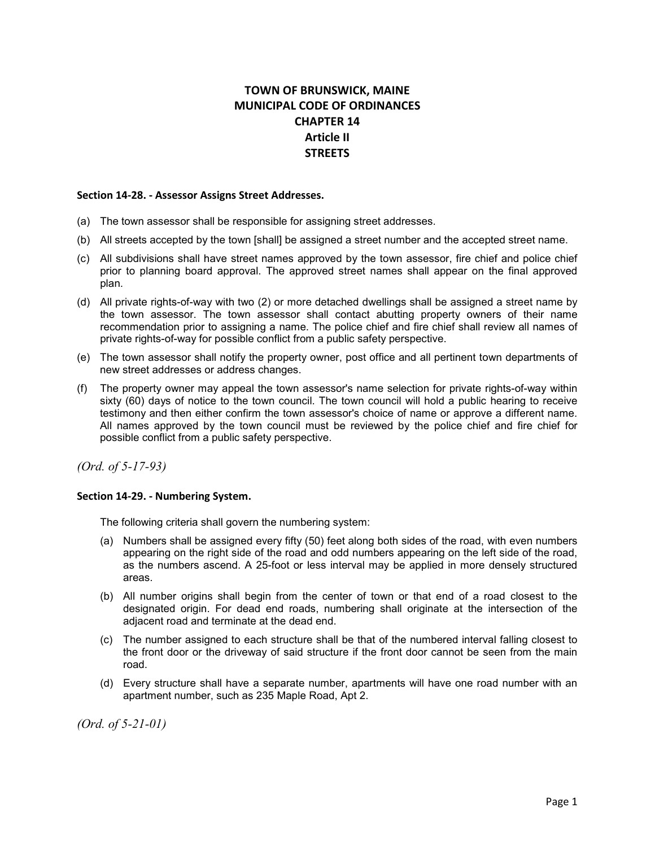# **TOWN OF BRUNSWICK, MAINE MUNICIPAL CODE OF ORDINANCES CHAPTER 14 Article II STREETS**

#### **Section 14-28. - Assessor Assigns Street Addresses.**

- (a) The town assessor shall be responsible for assigning street addresses.
- (b) All streets accepted by the town [shall] be assigned a street number and the accepted street name.
- (c) All subdivisions shall have street names approved by the town assessor, fire chief and police chief prior to planning board approval. The approved street names shall appear on the final approved plan.
- (d) All private rights-of-way with two (2) or more detached dwellings shall be assigned a street name by the town assessor. The town assessor shall contact abutting property owners of their name recommendation prior to assigning a name. The police chief and fire chief shall review all names of private rights-of-way for possible conflict from a public safety perspective.
- (e) The town assessor shall notify the property owner, post office and all pertinent town departments of new street addresses or address changes.
- (f) The property owner may appeal the town assessor's name selection for private rights-of-way within sixty (60) days of notice to the town council. The town council will hold a public hearing to receive testimony and then either confirm the town assessor's choice of name or approve a different name. All names approved by the town council must be reviewed by the police chief and fire chief for possible conflict from a public safety perspective.

*(Ord. of 5-17-93)*

#### **Section 14-29. - Numbering System.**

The following criteria shall govern the numbering system:

- (a) Numbers shall be assigned every fifty (50) feet along both sides of the road, with even numbers appearing on the right side of the road and odd numbers appearing on the left side of the road, as the numbers ascend. A 25-foot or less interval may be applied in more densely structured areas.
- (b) All number origins shall begin from the center of town or that end of a road closest to the designated origin. For dead end roads, numbering shall originate at the intersection of the adjacent road and terminate at the dead end.
- (c) The number assigned to each structure shall be that of the numbered interval falling closest to the front door or the driveway of said structure if the front door cannot be seen from the main road.
- (d) Every structure shall have a separate number, apartments will have one road number with an apartment number, such as 235 Maple Road, Apt 2.

*(Ord. of 5-21-01)*